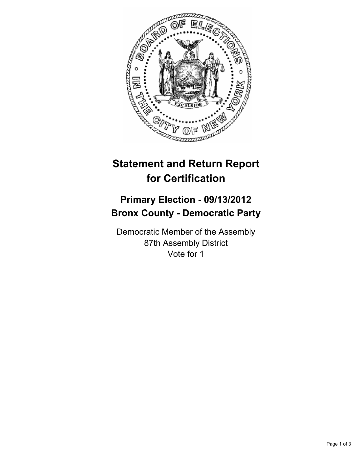

## **Statement and Return Report for Certification**

## **Primary Election - 09/13/2012 Bronx County - Democratic Party**

Democratic Member of the Assembly 87th Assembly District Vote for 1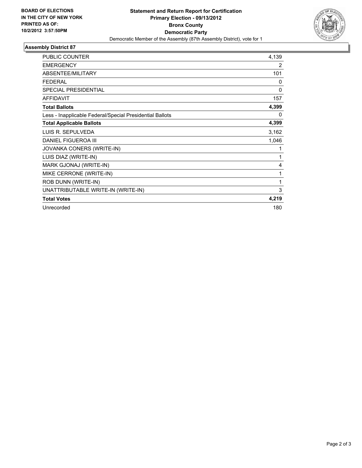

## **Assembly District 87**

| <b>PUBLIC COUNTER</b>                                    | 4,139        |
|----------------------------------------------------------|--------------|
| <b>EMERGENCY</b>                                         | 2            |
| <b>ABSENTEE/MILITARY</b>                                 | 101          |
| <b>FEDERAL</b>                                           | $\mathbf{0}$ |
| <b>SPECIAL PRESIDENTIAL</b>                              | $\mathbf{0}$ |
| <b>AFFIDAVIT</b>                                         | 157          |
| <b>Total Ballots</b>                                     | 4,399        |
| Less - Inapplicable Federal/Special Presidential Ballots | 0            |
| <b>Total Applicable Ballots</b>                          | 4,399        |
| LUIS R. SEPULVEDA                                        | 3,162        |
| <b>DANIEL FIGUEROA III</b>                               | 1,046        |
| JOVANKA CONERS (WRITE-IN)                                | 1            |
| LUIS DIAZ (WRITE-IN)                                     | 1            |
| MARK GJONAJ (WRITE-IN)                                   | 4            |
| MIKE CERRONE (WRITE-IN)                                  | 1            |
| ROB DUNN (WRITE-IN)                                      | 1            |
| UNATTRIBUTABLE WRITE-IN (WRITE-IN)                       | 3            |
| <b>Total Votes</b>                                       | 4,219        |
| Unrecorded                                               | 180          |